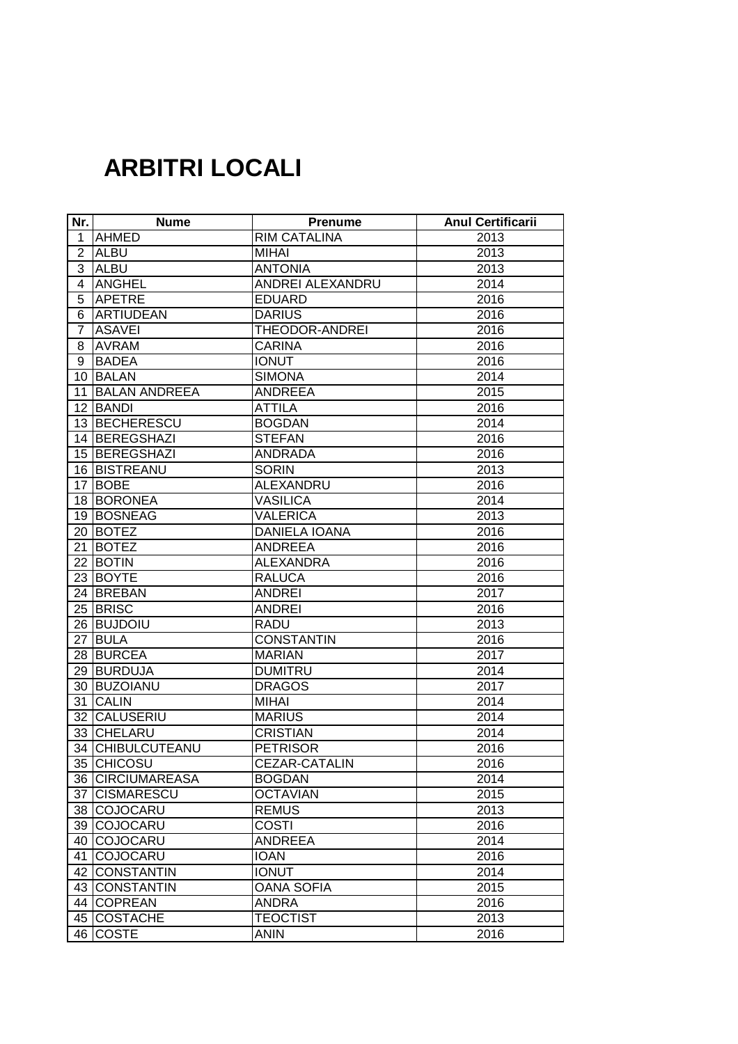## **ARBITRI LOCALI**

| Nr.             | <b>Nume</b>          | <b>Prenume</b>       | <b>Anul Certificarii</b> |
|-----------------|----------------------|----------------------|--------------------------|
| 1               | <b>AHMED</b>         | <b>RIM CATALINA</b>  | 2013                     |
| $\overline{2}$  | <b>ALBU</b>          | <b>MIHAI</b>         | 2013                     |
| 3               | <b>ALBU</b>          | <b>ANTONIA</b>       | 2013                     |
| 4               | <b>ANGHEL</b>        | ANDREI ALEXANDRU     | 2014                     |
| 5               | <b>APETRE</b>        | <b>EDUARD</b>        | 2016                     |
| 6               | <b>ARTIUDEAN</b>     | <b>DARIUS</b>        | 2016                     |
| 7               | <b>ASAVEI</b>        | THEODOR-ANDREI       | 2016                     |
| 8               | <b>AVRAM</b>         | <b>CARINA</b>        | 2016                     |
| 9               | <b>BADEA</b>         | <b>IONUT</b>         | 2016                     |
| 10 <sup>7</sup> | <b>BALAN</b>         | <b>SIMONA</b>        | 2014                     |
| 11              | <b>BALAN ANDREEA</b> | <b>ANDREEA</b>       | 2015                     |
|                 | 12 BANDI             | <b>ATTILA</b>        | 2016                     |
|                 | 13 BECHERESCU        | <b>BOGDAN</b>        | 2014                     |
|                 | 14 BEREGSHAZI        | <b>STEFAN</b>        | 2016                     |
|                 | 15 BEREGSHAZI        | <b>ANDRADA</b>       | 2016                     |
|                 | 16 BISTREANU         | <b>SORIN</b>         | 2013                     |
| 17              | <b>BOBE</b>          | ALEXANDRU            | 2016                     |
|                 | 18 BORONEA           | <b>VASILICA</b>      | 2014                     |
|                 | 19 BOSNEAG           | <b>VALERICA</b>      | 2013                     |
|                 | 20 BOTEZ             | <b>DANIELA IOANA</b> | 2016                     |
| 21              | <b>BOTEZ</b>         | <b>ANDREEA</b>       | 2016                     |
| 22              | <b>BOTIN</b>         | <b>ALEXANDRA</b>     | 2016                     |
|                 | 23 BOYTE             | <b>RALUCA</b>        | 2016                     |
|                 | 24 BREBAN            | <b>ANDREI</b>        | 2017                     |
|                 | 25 BRISC             | <b>ANDREI</b>        | 2016                     |
|                 | 26 BUJDOIU           | <b>RADU</b>          | 2013                     |
| 27              | <b>BULA</b>          | <b>CONSTANTIN</b>    | 2016                     |
|                 | 28 BURCEA            | <b>MARIAN</b>        | 2017                     |
|                 | 29 BURDUJA           | <b>DUMITRU</b>       | 2014                     |
|                 | 30 BUZOIANU          | <b>DRAGOS</b>        | 2017                     |
| 31              | <b>CALIN</b>         | <b>MIHAI</b>         | 2014                     |
|                 | 32 CALUSERIU         | <b>MARIUS</b>        | 2014                     |
|                 | 33 CHELARU           | <b>CRISTIAN</b>      | 2014                     |
|                 | 34 CHIBULCUTEANU     | <b>PETRISOR</b>      | 2016                     |
|                 | 35 CHICOSU           | CEZAR-CATALIN        | 2016                     |
|                 | 36 CIRCIUMAREASA     | <b>BOGDAN</b>        | 2014                     |
| 37 I            | <b>CISMARESCU</b>    | <b>OCTAVIAN</b>      | 2015                     |
|                 | 38 COJOCARU          | <b>REMUS</b>         | 2013                     |
|                 | 39 COJOCARU          | <b>COSTI</b>         | 2016                     |
|                 | 40 COJOCARU          | <b>ANDREEA</b>       | 2014                     |
| 41              | COJOCARU             | <b>IOAN</b>          | 2016                     |
|                 | 42 CONSTANTIN        | <b>IONUT</b>         | 2014                     |
|                 | 43 CONSTANTIN        | <b>OANA SOFIA</b>    | 2015                     |
|                 | 44 COPREAN           | <b>ANDRA</b>         | 2016                     |
|                 | 45 COSTACHE          | <b>TEOCTIST</b>      | 2013                     |
|                 | 46 COSTE             | <b>ANIN</b>          | 2016                     |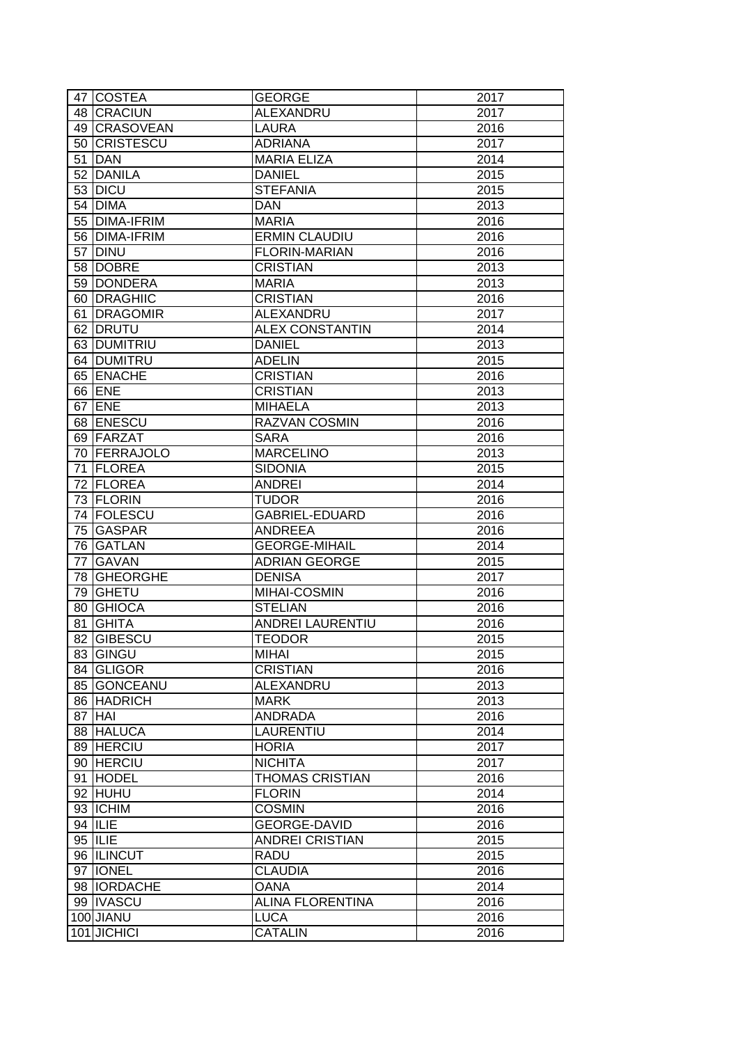|    | 47 COSTEA          | <b>GEORGE</b>           | 2017 |
|----|--------------------|-------------------------|------|
|    | 48 CRACIUN         | <b>ALEXANDRU</b>        | 2017 |
|    | 49 CRASOVEAN       | <b>LAURA</b>            | 2016 |
|    | 50 CRISTESCU       | <b>ADRIANA</b>          | 2017 |
|    | 51 DAN             | <b>MARIA ELIZA</b>      | 2014 |
|    | 52 DANILA          | <b>DANIEL</b>           | 2015 |
|    | 53 DICU            | <b>STEFANIA</b>         | 2015 |
|    | 54 DIMA            | <b>DAN</b>              | 2013 |
|    | 55 DIMA-IFRIM      | <b>MARIA</b>            | 2016 |
|    | 56 DIMA-IFRIM      | <b>ERMIN CLAUDIU</b>    | 2016 |
|    | 57 DINU            | <b>FLORIN-MARIAN</b>    | 2016 |
|    | 58 DOBRE           | <b>CRISTIAN</b>         | 2013 |
|    | 59 DONDERA         | <b>MARIA</b>            | 2013 |
|    | 60 DRAGHIIC        | <b>CRISTIAN</b>         | 2016 |
|    | 61 DRAGOMIR        | ALEXANDRU               | 2017 |
|    | 62 DRUTU           | <b>ALEX CONSTANTIN</b>  | 2014 |
|    |                    |                         |      |
|    | 63 DUMITRIU        | <b>DANIEL</b>           | 2013 |
|    | 64 DUMITRU         | <b>ADELIN</b>           | 2015 |
|    | 65 ENACHE          | <b>CRISTIAN</b>         | 2016 |
|    | 66 ENE             | <b>CRISTIAN</b>         | 2013 |
|    | 67 ENE             | <b>MIHAELA</b>          | 2013 |
|    | 68 ENESCU          | RAZVAN COSMIN           | 2016 |
|    | 69 FARZAT          | <b>SARA</b>             | 2016 |
|    | 70   FERRAJOLO     | <b>MARCELINO</b>        | 2013 |
|    | 71 FLOREA          | <b>SIDONIA</b>          | 2015 |
|    | 72 FLOREA          | <b>ANDREI</b>           | 2014 |
|    | 73 FLORIN          | <b>TUDOR</b>            | 2016 |
|    | 74 FOLESCU         | <b>GABRIEL-EDUARD</b>   | 2016 |
|    | 75 GASPAR          | <b>ANDREEA</b>          | 2016 |
|    | 76 GATLAN          | <b>GEORGE-MIHAIL</b>    | 2014 |
| 77 | <b>GAVAN</b>       | <b>ADRIAN GEORGE</b>    | 2015 |
|    | 78 GHEORGHE        | <b>DENISA</b>           | 2017 |
| 79 | GHETU              | MIHAI-COSMIN            | 2016 |
|    | 80 GHIOCA          | <b>STELIAN</b>          | 2016 |
| 81 | <b>GHITA</b>       | ANDREI LAURENTIU        | 2016 |
|    | 82 GIBESCU         | <b>TEODOR</b>           | 2015 |
|    | 83 GINGU           | <b>MIHAI</b>            | 2015 |
|    | 84 GLIGOR          | <b>CRISTIAN</b>         | 2016 |
|    | 85 GONCEANU        | ALEXANDRU               | 2013 |
|    | 86 HADRICH         | <b>MARK</b>             | 2013 |
|    | 87 HAI             | <b>ANDRADA</b>          | 2016 |
|    | 88 HALUCA          | LAURENTIU               | 2014 |
|    | 89 HERCIU          | <b>HORIA</b>            | 2017 |
|    | 90 HERCIU          | <b>NICHITA</b>          | 2017 |
|    | 91 HODEL           | <b>THOMAS CRISTIAN</b>  | 2016 |
|    | 92 HUHU            | <b>FLORIN</b>           | 2014 |
|    | 93 ICHIM           | <b>COSMIN</b>           | 2016 |
|    | 94   ILIE          | GEORGE-DAVID            | 2016 |
|    | 95 ILIE            | <b>ANDREI CRISTIAN</b>  | 2015 |
|    | 96 ILINCUT         | <b>RADU</b>             | 2015 |
|    | 97   IONEL         | <b>CLAUDIA</b>          | 2016 |
|    |                    |                         |      |
|    | 98 <b>IORDACHE</b> | <b>OANA</b>             | 2014 |
|    | 99 IVASCU          | <b>ALINA FLORENTINA</b> | 2016 |
|    | 100 JIANU          | <b>LUCA</b>             | 2016 |
|    | 101 JICHICI        | <b>CATALIN</b>          | 2016 |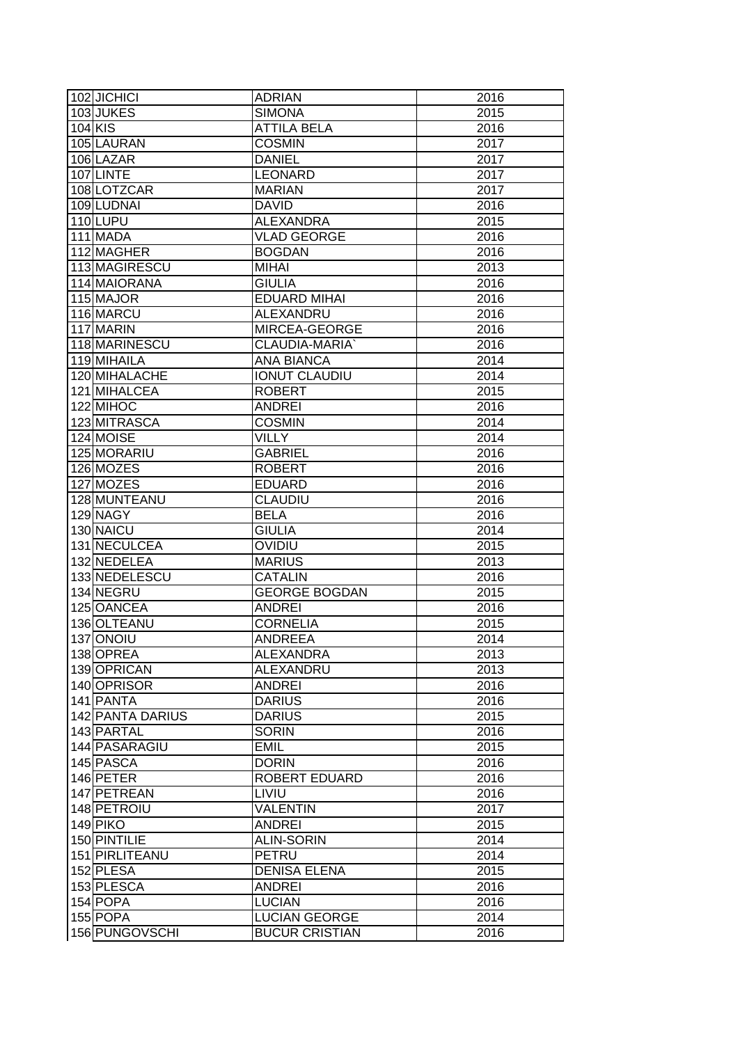| 102 JICHICI      | <b>ADRIAN</b>         | 2016 |
|------------------|-----------------------|------|
| 103JUKES         | <b>SIMONA</b>         | 2015 |
| 104 KIS          | <b>ATTILA BELA</b>    | 2016 |
| 105 LAURAN       | <b>COSMIN</b>         | 2017 |
| 106 LAZAR        | <b>DANIEL</b>         | 2017 |
| 107LINTE         | <b>LEONARD</b>        | 2017 |
| 108 LOTZCAR      | <b>MARIAN</b>         | 2017 |
| 109 LUDNAI       | <b>DAVID</b>          | 2016 |
| 110LUPU          | <b>ALEXANDRA</b>      | 2015 |
| 111 MADA         | <b>VLAD GEORGE</b>    | 2016 |
| 112 MAGHER       | <b>BOGDAN</b>         | 2016 |
| 113 MAGIRESCU    | <b>MIHAI</b>          | 2013 |
| 114 MAIORANA     | <b>GIULIA</b>         | 2016 |
| 115 MAJOR        | <b>EDUARD MIHAI</b>   | 2016 |
| 116 MARCU        | ALEXANDRU             | 2016 |
| 117 MARIN        | MIRCEA-GEORGE         | 2016 |
| 118 MARINESCU    | CLAUDIA-MARIA'        | 2016 |
| 119 MIHAILA      | <b>ANA BIANCA</b>     | 2014 |
| 120 MIHALACHE    | <b>IONUT CLAUDIU</b>  | 2014 |
| 121 MIHALCEA     | <b>ROBERT</b>         | 2015 |
| 122 MIHOC        | <b>ANDREI</b>         | 2016 |
|                  | <b>COSMIN</b>         |      |
| 123 MITRASCA     |                       | 2014 |
| 124 MOISE        | <b>VILLY</b>          | 2014 |
| 125 MORARIU      | <b>GABRIEL</b>        | 2016 |
| 126 MOZES        | <b>ROBERT</b>         | 2016 |
| 127 MOZES        | <b>EDUARD</b>         | 2016 |
| 128 MUNTEANU     | <b>CLAUDIU</b>        | 2016 |
| 129 NAGY         | <b>BELA</b>           | 2016 |
| 130 NAICU        | <b>GIULIA</b>         | 2014 |
| 131 NECULCEA     | OVIDIU                | 2015 |
| 132 NEDELEA      | <b>MARIUS</b>         | 2013 |
| 133 NEDELESCU    | <b>CATALIN</b>        | 2016 |
| 134 NEGRU        | <b>GEORGE BOGDAN</b>  | 2015 |
| 125 OANCEA       | <b>ANDREI</b>         | 2016 |
| 136 OLTEANU      | <b>CORNELIA</b>       | 2015 |
| <b>137 ONOIU</b> | <b>ANDREEA</b>        | 2014 |
| 138 OPREA        | ALEXANDRA             | 2013 |
| 139 OPRICAN      | ALEXANDRU             | 2013 |
| 140 OPRISOR      | <b>ANDREI</b>         | 2016 |
| 141 PANTA        | <b>DARIUS</b>         | 2016 |
| 142 PANTA DARIUS | <b>DARIUS</b>         | 2015 |
| 143 PARTAL       | <b>SORIN</b>          | 2016 |
| 144 PASARAGIU    | <b>EMIL</b>           | 2015 |
| 145 PASCA        | <b>DORIN</b>          | 2016 |
| 146 PETER        | ROBERT EDUARD         | 2016 |
| 147 PETREAN      | LIVIU                 | 2016 |
| 148 PETROIU      | <b>VALENTIN</b>       | 2017 |
| 149 PIKO         | <b>ANDREI</b>         | 2015 |
| 150 PINTILIE     | <b>ALIN-SORIN</b>     | 2014 |
| 151 PIRLITEANU   | PETRU                 | 2014 |
| 152 PLESA        | <b>DENISA ELENA</b>   | 2015 |
| 153 PLESCA       | <b>ANDREI</b>         | 2016 |
| 154 POPA         | <b>LUCIAN</b>         | 2016 |
| 155 POPA         | <b>LUCIAN GEORGE</b>  | 2014 |
| 156 PUNGOVSCHI   | <b>BUCUR CRISTIAN</b> | 2016 |
|                  |                       |      |